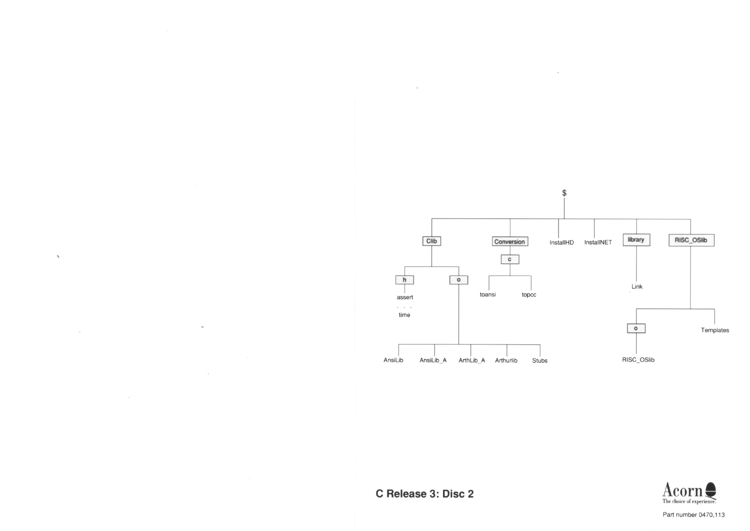

C Release 3: Disc 2



Part number 0470,113